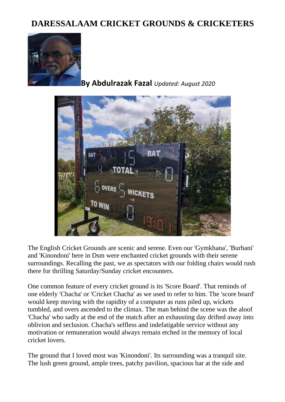## **DARESSALAAM CRICKET GROUNDS & CRICKETERS**



**By Abdulrazak Fazal** *Updated: August 2020*



The English Cricket Grounds are scenic and serene. Even our 'Gymkhana', 'Burhani' and 'Kinondoni' here in Dsm were enchanted cricket grounds with their serene surroundings. Recalling the past, we as spectators with our folding chairs would rush there for thrilling Saturday/Sunday cricket encounters.

One common feature of every cricket ground is its 'Score Board'. That reminds of one elderly 'Chacha' or 'Cricket Chacha' as we used to refer to him. The 'score board' would keep moving with the rapidity of a computer as runs piled up, wickets tumbled, and overs ascended to the climax. The man behind the scene was the aloof 'Chacha' who sadly at the end of the match after an exhausting day drifted away into oblivion and seclusion. Chacha's selfless and indefatigable service without any motivation or remuneration would always remain etched in the memory of local cricket lovers.

The ground that I loved most was 'Kinondoni'. Its surrounding was a tranquil site. The lush green ground, ample trees, patchy pavilion, spacious bar at the side and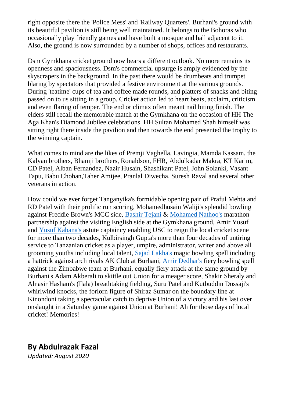right opposite there the 'Police Mess' and 'Railway Quarters'. Burhani's ground with its beautiful pavilion is still being well maintained. It belongs to the Bohoras who occasionally play friendly games and have built a mosque and hall adjacent to it. Also, the ground is now surrounded by a number of shops, offices and restaurants.

Dsm Gymkhana cricket ground now bears a different outlook. No more remains its openness and spaciousness. Dsm's commercial upsurge is amply evidenced by the skyscrapers in the background. In the past there would be drumbeats and trumpet blaring by spectators that provided a festive environment at the various grounds. During 'teatime' cups of tea and coffee made rounds, and platters of snacks and biting passed on to us sitting in a group. Cricket action led to heart beats, acclaim, criticism and even flaring of temper. The end or climax often meant nail biting finish. The elders still recall the memorable match at the Gymkhana on the occasion of HH The Aga Khan's Diamond Jubilee celebrations. HH Sultan Mohamed Shah himself was sitting right there inside the pavilion and then towards the end presented the trophy to the winning captain.

What comes to mind are the likes of Premji Vaghella, Lavingia, Mamda Kassam, the Kalyan brothers, Bhamji brothers, Ronaldson, FHR, Abdulkadar Makra, KT Karim, CD Patel, Alban Fernandez, Nazir Husain, Shashikant Patel, John Solanki, Vasant Tapu, Babu Chohan,Taher Amijee, Pranlal Diwecha, Suresh Raval and several other veterans in action.

How could we ever forget Tanganyika's formidable opening pair of Praful Mehta and RD Patel with their prolific run scoring, Mohamedhusain Waliji's splendid bowling against Freddie Brown's MCC side, [Bashir Tejani](http://www.dewani.ca/bashirtejani.htm) & [Mohamed Nathoo's](http://www.dewani.ca/mnmainpage.htm) marathon partnership against the visiting English side at the Gymkhana ground, Amir Yusuf and [Yusuf Kabana's](http://www.dewani.ca/yusufkabana.htm) astute captaincy enabling USC to reign the local cricket scene for more than two decades, Kulbirsingh Gupta's more than four decades of untiring service to Tanzanian cricket as a player, umpire, administrator, writer and above all grooming youths including local talent, [Sajad Lakha's](http://www.dewani.ca/sajjadlakha.htm) magic bowling spell including a hattrick against arch rivals AK Club at Burhani, [Amir Dedhar's](http://www.dewani.ca/magamirgulamhussein.htm) fiery bowling spell against the Zimbabwe team at Burhani, equally fiery attack at the same ground by Burhani's Adam Akberali to skittle out Union for a meager score, Shakir Sheraly and Alnasir Hasham's (Ilala) breathtaking fielding, Suru Patel and Kutbuddin Dossaji's whirlwind knocks, the forlorn figure of Shiraz Sumar on the boundary line at Kinondoni taking a spectacular catch to deprive Union of a victory and his last over onslaught in a Saturday game against Union at Burhani! Ah for those days of local cricket! Memories!

## **By Abdulrazak Fazal**

*Updated: August 2020*